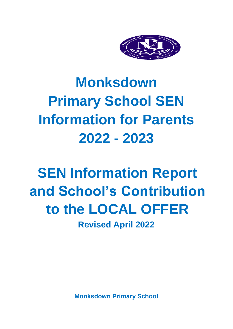

# **Monksdown Primary School SEN Information for Parents 2022 - 2023**

# **SEN Information Report and School's Contribution to the LOCAL OFFER**

**Revised April 2022**

**Monksdown Primary School**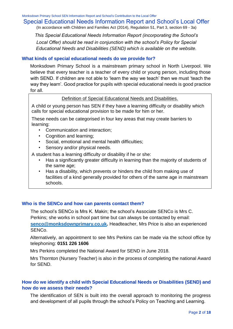# Special Educational Needs Information Report and School's Local Offer

(In accordance with Children and Families Act (2014), Regulation 51, Part 3, section 69 - 3a)

*This Special Educational Needs Information Report (incorporating the School's Local Offer) should be read in conjunction with the school's Policy for Special Educational Needs and Disabilities (SEND) which is available on the website.* 

#### **What kinds of special educational needs do we provide for?**

Monksdown Primary School is a mainstream primary school in North Liverpool. We believe that every teacher is a teacher of every child or young person, including those with SEND. If children are not able to 'learn the way we teach' then we must 'teach the way they learn'. Good practice for pupils with special educational needs is good practice for all.

#### Definition of Special Educational Needs and Disabilities.

A child or young person has SEN if they have a learning difficulty or disability which calls for special educational provision to be made for him or her.

These needs can be categorised in four key areas that may create barriers to learning:

- Communication and interaction;
- Cognition and learning:
- Social, emotional and mental health difficulties;
- Sensory and/or physical needs.

A student has a learning difficulty or disability if he or she:

- Has a significantly greater difficulty in learning than the majority of students of the same age;
- Has a disability, which prevents or hinders the child from making use of facilities of a kind generally provided for others of the same age in mainstream schools.

#### **Who is the SENCo and how can parents contact them?**

The school's SENCo is Mrs K. Makin; the school's Associate SENCo is Mrs C. Perkins; she works in school part time but can always be contacted by email: **[senco@monksdownprimary.co.uk.](mailto:senco@monksdownprimary.co.uk)** Headteacher, Mrs Price is also an experienced SENCo.

Alternatively, an appointment to see Mrs Perkins can be made via the school office by telephoning: **0151 226 1606**

Mrs Perkins completed the National Award for SEND in June 2018.

Mrs Thornton (Nursery Teacher) is also in the process of completing the national Award for SEND.

# **How do we identify a child with Special Educational Needs or Disabilities (SEND) and how do we assess their needs?**

The identification of SEN is built into the overall approach to monitoring the progress and development of all pupils through the school's Policy on Teaching and Learning.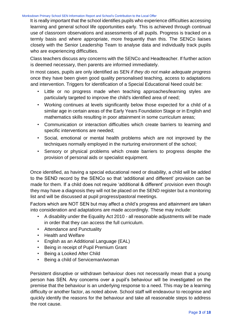It is really important that the school identifies pupils who experience difficulties accessing learning and general school life opportunities early. This is achieved through continual use of classroom observations and assessments of all pupils. Progress is tracked on a termly basis and where appropriate, more frequently than this. The SENCo liaises closely with the Senior Leadership Team to analyse data and individually track pupils who are experiencing difficulties.

Class teachers discuss any concerns with the SENCo and Headteacher. If further action is deemed necessary, then parents are informed immediately.

In most cases, pupils are only identified as SEN *if they do not make adequate progress* once they have been given good quality personalised teaching, access to adaptations and intervention. Triggers for identification of a Special Educational Need could be:

- Little or no progress made when teaching approaches/learning styles are particularly targeted to improve the child's identified area of need;
- Working continues at levels significantly below those expected for a child of a similar age in certain areas of the Early Years Foundation Stage or in English and mathematics skills resulting in poor attainment in some curriculum areas;
- Communication or interaction difficulties which create barriers to learning and specific interventions are needed;
- Social, emotional or mental health problems which are not improved by the techniques normally employed in the nurturing environment of the school;
- Sensory or physical problems which create barriers to progress despite the provision of personal aids or specialist equipment.

Once identified, as having a special educational need or disability, a child will be added to the SEND record by the SENCo so that 'additional and different' provision can be made for them. If a child does not require 'additional & different' provision even though they may have a diagnosis they will not be placed on the SEND register but a monitoring list and will be discussed at pupil progress/pastoral meetings.

Factors which are NOT SEN but may affect a child's progress and attainment are taken into consideration and adaptations are made accordingly. These may include:

- A disability under the Equality Act 2010 all reasonable adjustments will be made in order that they can access the full curriculum.
- Attendance and Punctuality
- Health and Welfare
- English as an Additional Language (EAL)
- Being in receipt of Pupil Premium Grant
- Being a Looked After Child
- Being a child of Serviceman/woman

Persistent disruptive or withdrawn behaviour does not necessarily mean that a young person has SEN. Any concerns over a pupil's behaviour will be investigated on the premise that the behaviour is an underlying response to a need. This may be a learning difficulty or another factor, as noted above. School staff will endeavour to recognise and quickly identify the reasons for the behaviour and take all reasonable steps to address the root cause.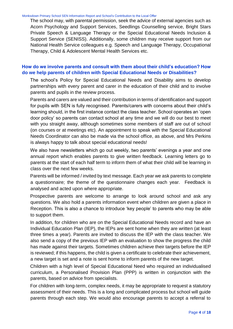The school may, with parental permission, seek the advice of external agencies such as Acorn Psychology and Support Services, Seedlings Counselling service, Bright Stars Private Speech & Language Therapy or the Special Educational Needs Inclusion & Support Service (SENISS). Additionally, some children may receive support from our National Health Service colleagues e.g. Speech and Language Therapy, Occupational Therapy, Child & Adolescent Mental Health Services etc.

# **How do we involve parents and consult with them about their child's education? How do we help parents of children with Special Educational Needs or Disabilities?**

The school's Policy for Special Educational Needs and Disability aims to develop partnerships with every parent and carer in the education of their child and to involve parents and pupils in the review process.

Parents and carers are valued and their contribution in terms of identification and support for pupils with SEN is fully recognised. Parents/carers with concerns about their child's learning should, in the first instance contact the class teacher. School operates an 'open door policy' so parents can contact school at any time and we will do our best to meet with you straight away, although sometimes some members of staff are out of school (on courses or at meetings etc). An appointment to speak with the Special Educational Needs Coordinator can also be made via the school office, as above, and Mrs Perkins is always happy to talk about special educational needs!

We also have newsletters which go out weekly, two parents' evenings a year and one annual report which enables parents to give written feedback. Learning letters go to parents at the start of each half term to inform them of what their child will be learning in class over the next few weeks.

Parents will be informed / invited by text message. Each year we ask parents to complete a questionnaire; the theme of the questionnaire changes each year. Feedback is analysed and acted upon where appropriate.

Prospective parents are welcome to arrange to look around school and ask any questions. We also hold a parents information event when children are given a place in Reception. This is also a chance to introduce 'key people' to parents who may be able to support them.

In addition, for children who are on the Special Educational Needs record and have an Individual Education Plan (IEP), the IEPs are sent home when they are written (at least three times a year). Parents are invited to discuss the IEP with the class teacher. We also send a copy of the previous IEP with an evaluation to show the progress the child has made against their targets. Sometimes children achieve their targets before the IEP is reviewed; if this happens, the child is given a certificate to celebrate their achievement, a new target is set and a note is sent home to inform parents of the new target.

Children with a high level of Special Educational Need who required an individualised curriculum, a Personalised Provision Plan (PPP) is written in conjunction with the parents, based on advice from specialists.

For children with long-term, complex needs, it may be appropriate to request a statutory assessment of their needs. This is a long and complicated process but school will guide parents through each step. We would also encourage parents to accept a referral to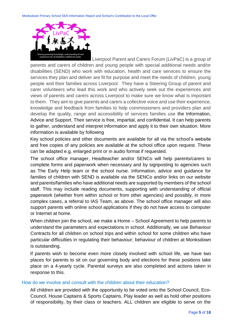

Liverpool Parent and Carers Forum (LivPaC) is a group of parents and carers of children and young people with special additional needs and/or disabilities (SEND) who work with education, health and care services to ensure the services they plan and deliver are fit for purpose and meet the needs of children, young people and their families across Liverpool. They have a Steering Group of parent and carer volunteers who lead this work and who actively seek out the experiences and views of parents and carers across Liverpool to make sure we know what is important to them. They aim to give parents and carers a collective voice and use their experience, knowledge and feedback from families to help commissioners and providers plan and develop the quality, range and accessibility of services families use the Information, Advice and Support. Their service is free, impartial, and confidential. It can help parents to gather, understand and interpret information and apply it to their own situation. More information is available by following

Key school policies and other documents are available for all via the school's website and free copies of any policies are available at the school office upon request. These can be adapted e.g. enlarged print or in audio format if requested.

The school office manager, Headteacher and/or SENCo will help parents/carers to complete forms and paperwork when necessary and by signposting to agencies such as The Early Help team or the school nurse. Information, advice and guidance for families of children with SEND is available via the SENCo and/or links on our website and parents/families who have additional needs are supported by members of the school staff. This may include reading documents, supporting with understanding of official paperwork (whether from within school or from other agencies) and possibly, in more complex cases, a referral to IAS Team, as above. The school office manager will also support parents with online school applications if they do not have access to computer or Internet at home.

When children join the school, we make a Home – School Agreement to help parents to understand the parameters and expectations in school. Additionally, we use Behaviour Contracts for all children on school trips and within school for some children who have particular difficulties in regulating their behaviour; behaviour of children at Monksdown is outstanding.

If parents wish to become even more closely involved with school life, we have two places for parents to sit on our governing body and elections for these positions take place on a 4-yearly cycle. Parental surveys are also completed and actions taken in response to this.

#### How do we involve and consult with the children about their education?

All children are provided with the opportunity to be voted onto the School Council, Eco-Council, House Captains & Sports Captains, Play leader as well as hold other positions of responsibility, by their class or teachers. ALL children are eligible to serve on the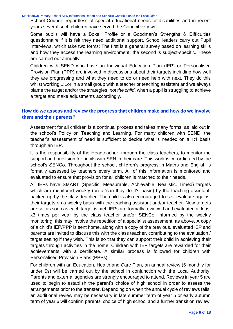School Council, regardless of special educational needs or disabilities and in recent years several such children have served the Council very well.

Some pupils will have a Boxall Profile or a Goodman's Strengths & Difficulties questionnaire if it is felt they need additional support. School leaders carry out Pupil Interviews, which take two forms: The first is a general survey based on learning skills and how they access the learning environment; the second is subject-specific. These are carried out annually.

Children with SEND who have an Individual Education Plan (IEP) or Personalised Provision Plan (PPP) are involved in discussions about their targets including how well they are progressing and what they need to do or need help with next. They do this whilst working 1:1or in a small group with a teacher or teaching assistant and we always blame the target and/or the strategies, *not the child*, when a pupil is struggling to achieve a target and make adjustments accordingly.

# **How do we assess and review the progress that children make and how do we involve them and their parents?**

Assessment for all children is a continual process and takes many forms, as laid out in the school's Policy on Teaching and Learning. For many children with SEND, the teacher's assessment of need is sufficient to decide what is needed on a 1:1 basis through an IEP.

It is the responsibility of the Headteacher, through the class teachers, to monitor the support and provision for pupils with SEN in their care. This work is co-ordinated by the school's SENCo. Throughout the school, children's progress in Maths and English is formally assessed by teachers every term. All of this information is monitored and evaluated to ensure that provision for all children is matched to their needs.

All IEPs have SMART (Specific, Measurable, Achievable, Realistic, Timed) targets which are monitored weekly (on a 'can they do it?' basis) by the teaching assistant, backed up by the class teacher. The child is also encouraged to self-evaluate against their targets on a weekly basis with the teaching assistant and/or teacher. New targets are set as soon as each target is met. IEPs are formally reviewed and evaluated at least x3 times per year by the class teacher and/or SENCo, informed by the weekly monitoring; this may involve the repetition of a specialist assessment, as above. A copy of a child's IEP/PPP is sent home, along with a copy of the previous, evaluated IEP and parents are invited to discuss this with the class teacher, contributing to the evaluation / target setting if they wish. This is so that they can support their child in achieving their targets through activities in the home. Children with IEP targets are rewarded for their achievements with a certificate. A similar process is followed for children with Personalised Provision Plans (PPPs).

For children with an Education, Health and Care Plan, an annual review (6 monthly for under 5s) will be carried out by the school in conjunction with the Local Authority. Parents and external agencies are strongly encouraged to attend. Reviews in year 5 are used to begin to establish the parent's choice of high school in order to assess the arrangements prior to the transfer. Depending on when the annual cycle of reviews falls, an additional review may be necessary in late summer term of year 5 or early autumn term of year 6 will confirm parents' choice of high school and a further transition review,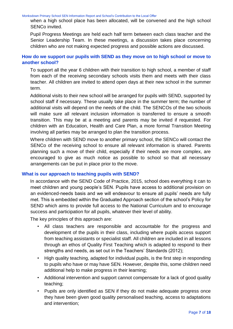when a high school place has been allocated, will be convened and the high school SENCo invited.

Pupil Progress Meetings are held each half term between each class teacher and the Senior Leadership Team. In these meetings, a discussion takes place concerning children who are not making expected progress and possible actions are discussed.

# **How do we support our pupils with SEND as they move on to high school or move to another school?**

To support all the year 6 children with their transition to high school, a member of staff from each of the receiving secondary schools visits them and meets with their class teacher. All children are invited to attend open days at their new school in the summer term.

Additional visits to their new school will be arranged for pupils with SEND, supported by school staff if necessary. These usually take place in the summer term; the number of additional visits will depend on the needs of the child. The SENCOs of the two schools will make sure all relevant inclusion information is transferred to ensure a smooth transition. This may be at a meeting and parents may be invited if requested. For children with an Education, Health and Care Plan, a more formal Transition Meeting involving all parties may be arranged to plan the transition process.

Where children with SEND move to another primary school, the SENCo will contact the SENCo of the receiving school to ensure all relevant information is shared. Parents planning such a move of their child, especially if their needs are more complex, are encouraged to give as much notice as possible to school so that all necessary arrangements can be put in place prior to the move.

#### **What is our approach to teaching pupils with SEND?**

In accordance with the SEND Code of Practice, 2015, school does everything it can to meet children and young people's SEN. Pupils have access to additional provision on an evidenced-needs basis and we will endeavour to ensure all pupils' needs are fully met. This is embedded within the Graduated Approach section of the school's Policy for SEND which aims to provide full access to the National Curriculum and to encourage success and participation for all pupils, whatever their level of ability.

The key principles of this approach are:

- All class teachers are responsible and accountable for the progress and development of the pupils in their class, including where pupils access support from teaching assistants or specialist staff. All children are included in all lessons through an ethos of Quality First Teaching which is adapted to respond to their strengths and needs, as set out in the Teachers' Standards (2012);
- High quality teaching, adapted for individual pupils, is the first step in responding to pupils who have or may have SEN. However, despite this, some children need additional help to make progress in their learning;
- Additional intervention and support cannot compensate for a lack of good quality teaching;
- Pupils are only identified as SEN if they do not make adequate progress once they have been given good quality personalised teaching, access to adaptations and intervention;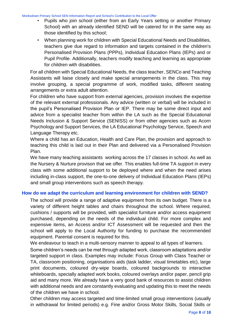- Pupils who join school (either from an Early Years setting or another Primary School) with an already identified SEND will be catered for in the same way as those identified by this school;
- When planning work for children with Special Educational Needs and Disabilities, teachers give due regard to information and targets contained in the children's Personalised Provision Plans (PPPs), Individual Education Plans (IEPs) and or Pupil Profile. Additionally, teachers modify teaching and learning as appropriate for children with disabilities.

For all children with Special Educational Needs, the class teacher, SENCo and Teaching Assistants will liaise closely and make special arrangements in the class. This may involve grouping, a special programme of work, modified tasks, different seating arrangements or extra adult attention.

For children who have support from external agencies, provision involves the expertise of the relevant external professionals. Any advice (written or verbal) will be included in the pupil's Personalised Provision Plan or IEP. There may be some direct input and advice from a specialist teacher from within the LA such as the Special Educational Needs Inclusion & Support Service (SENISS) or from other agencies such as Acorn Psychology and Support Services, the LA Educational Psychology Service, Speech and Language Therapy etc.

Where a child has an Education, Health and Care Plan, the provision and approach to teaching this child is laid out in their Plan and delivered via a Personalised Provision Plan.

We have many teaching assistants working across the 17 classes in school. As well as the Nursery & Nurture provison that we offer. This enables full-time TA support in every class with some additional support to be deployed where and when the need arises including in-class support, the one-to-one delivery of Individual Education Plans (IEPs) and small group interventions such as speech therapy.

# **How do we adapt the curriculum and learning environment for children with SEND?**

The school will provide a range of adaptive equipment from its own budget. There is a variety of different height tables and chairs throughout the school. Where required, cushions / supports will be provided, with specialist furniture and/or access equipment purchased, depending on the needs of the individual child. For more complex and expensive items, an Access and/or ICT Assessment will be requested and then the school will apply to the Local Authority for funding to purchase the recommended equipment. Parental consent is required for this.

We endeavour to teach in a multi-sensory manner to appeal to all types of learners.

Some children's needs can be met through adapted work, classroom adaptations and/or targeted support in class. Examples may include: Focus Group with Class Teacher or TA, classroom positioning, organisations aids (task ladder, visual timetables etc), large print documents, coloured dry-wipe boards, coloured backgrounds to interactive whiteboards, specially adapted work books, coloured overlays and/or paper, pencil grip aid and many more. We already have a very good bank of resources to assist children with additional needs and are constantly evaluating and updating this to meet the needs of the children we have in school.

Other children may access targeted and time-limited small group interventions (usually in withdrawal for limited periods) e.g. Fine and/or Gross Motor Skills, Social Skills or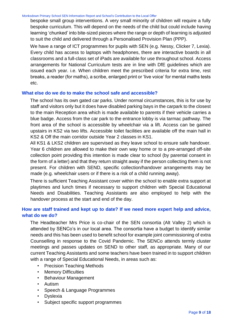bespoke small group interventions. A very small minority of children will require a fully bespoke curriculum. This will depend on the needs of the child but could include having learning 'chunked' into bite-sized pieces where the range or depth of learning is adjusted to suit the child and delivered through a Personalised Provision Plan (PPP).

We have a range of ICT programmes for pupils with SEN (e.g. Nessy, Clicker 7, Lexia). Every child has access to laptops with headphones, there are interactive boards in all classrooms and a full-class set of iPads are available for use throughout school. Access arrangements for National Curriculum tests are in line with DfE guidelines which are issued each year. i.e. When children meet the prescribed criteria for extra time, rest breaks, a reader (for maths), a scribe, enlarged print or 'live voice' for mental maths tests etc.

#### **What else do we do to make the school safe and accessible?**

The school has its own gated car parks. Under normal circumstances, this is for use by staff and visitors only but it does have disabled parking bays in the carpark to the closest to the main Reception area which is made available to parents if their vehicle carries a blue badge. Access from the car park to the entrance lobby is via tarmac pathway. The front area of the school is accessible by wheelchair via a lift. Access can be gained upstairs in KS2 via two lifts. Accessible toilet facilities are available off the main hall in KS2 & Off the main corridor outside Year 2 classes in KS1.

All KS1 & LKS2 children are supervised as they leave school to ensure safe handover. Year 6 children are allowed to make their own way home or to a pre-arranged off-site collection point providing this intention is made clear to school (by parental consent in the form of a letter) and that they return straight away if the person collecting them is not present. For children with SEND, specific collection/handover arrangements may be made (e.g. wheelchair users or if there is a risk of a child running away).

There is sufficient Teaching Assistant cover within the school to enable extra support at playtimes and lunch times if necessary to support children with Special Educational Needs and Disabilities. Teaching Assistants are also employed to help with the handover process at the start and end of the day.

# **How are staff trained and kept up to date? If we need more expert help and advice, what do we do?**

The Headteacher Mrs Price is co-chair of the SEN consortia (Alt Valley 2) which is attended by SENCo's in our local area. The consortia have a budget to identify similar needs and this has been used to benefit school for example joint commissioning of extra Counselling in response to the Covid Pandemic. The SENCo attends termly cluster meetings and passes updates on SEND to other staff, as appropriate. Many of our current Teaching Assistants and some teachers have been trained in to support children with a range of Special Educational Needs, in areas such as:

- Precision Teaching Methods
- Memory Difficulties
- Behaviour Management
- Autism
- Speech & Language Programmes
- Dyslexia
- Subject specific support programmes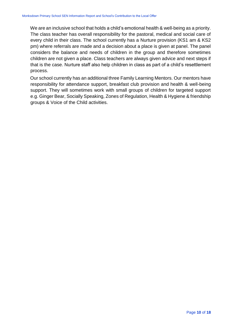We are an inclusive school that holds a child's emotional health & well-being as a priority. The class teacher has overall responsibility for the pastoral, medical and social care of every child in their class. The school currently has a Nurture provision (KS1 am & KS2 pm) where referrals are made and a decision about a place is given at panel. The panel considers the balance and needs of children in the group and therefore sometimes children are not given a place. Class teachers are always given advice and next steps if that is the case. Nurture staff also help children in class as part of a child's resettlement process.

Our school currently has an additional three Family Learning Mentors. Our mentors have responsibility for attendance support, breakfast club provision and health & well-being support. They will sometimes work with small groups of children for targeted support e.g. Ginger Bear, Socially Speaking, Zones of Regulation, Health & Hygiene & friendship groups & Voice of the Child activities.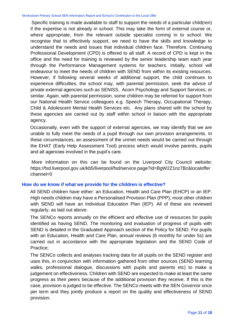Specific training is made available to staff to support the needs of a particular child(ren) if the expertise is not already in school. This may take the form of external course or, where appropriate, from the relevant outside specialist coming in to school. We recognise that to effectively support, we need to have the skills and knowledge to understand the needs and issues that individual children face. Therefore, Continuing Professional Development (CPD) is offered to all staff. A record of CPD is kept in the office and the need for training is reviewed by the senior leadership team each year through the Performance Management systems for teachers. Initially, school will endeavour to meet the needs of children with SEND from within its existing resources. However, if following several weeks of additional support, the child continues to experience difficulties, the school may, with parental permission, seek the advice of private external agencies such as SENISS, Acorn Psychology and Support Services; or similar. Again, with parental permission, some children may be referred for support from our National Health Service colleagues e.g. Speech Therapy, Occupational Therapy, Child & Adolescent Mental Health Services etc. Any plans shared with the school by these agencies are carried out by staff within school in liaison with the appropriate agency.

Occasionally, even with the support of external agencies, we may identify that we are unable to fully meet the needs of a pupil through our own provision arrangements. In these circumstances, an assessment of the unmet needs would be carried out through the EHAT (Early Help Assessment Tool) process which would involve parents, pupils and all agencies involved in the pupil's care.

More information on this can be found on the Liverpool City Council website: https://fsd.liverpool.gov.uk/kb5/liverpool/fsd/service.page?id=BgW2Z1nz7Bc&localoffer channel=0

#### **How do we know if what we provide for the children is effective?**

All SEND children have either: an Education, Health and Care Plan (EHCP) or an IEP. High needs children may have a Personalised Provision Plan (PPP); most other children with SEND will have an Individual Education Plan (IEP). All of these are reviewed regularly, as laid out above.

The SENCo reports annually on the efficient and effective use of resources for pupils identified as having SEND. The monitoring and evaluation of progress of pupils with SEND is detailed in the Graduated Approach section of the Policy for SEND. For pupils with an Education, Health and Care Plan, annual reviews (6 monthly for under 5s) are carried out in accordance with the appropriate legislation and the SEND Code of Practice;

The SENCo collects and analyses tracking data for all pupils on the SEND register and uses this, in conjunction with information gathered from other sources (SEND learning walks, professional dialogue, discussions with pupils and parents etc) to make a judgement on effectiveness. Children with SEND are expected to make at least the same progress as their peers because of the additional provision they receive. If this is the case, provision is judged to be effective. The SENCo meets with the SEN Governor once per term and they jointly produce a report on the quality and effectiveness of SEND provision.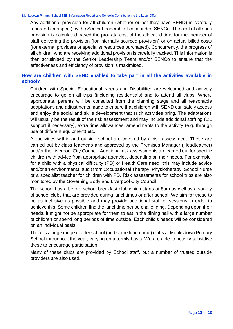Any additional provision for all children (whether or not they have SEND) is carefully recorded ('mapped') by the Senior Leadership Team and/or SENCo. The cost of all such provision is calculated based the pro-rata cost of the allocated time for the member of staff delivering the provision (for internally sourced provision) or on actual billed costs (for external providers or specialist resources purchased). Concurrently, the progress of all children who are receiving additional provision is carefully tracked. This information is then scrutinised by the Senior Leadership Team and/or SENCo to ensure that the effectiveness and efficiency of provision is maximised.

# **How are children with SEND enabled to take part in all the activities available in school?**

Children with Special Educational Needs and Disabilities are welcomed and actively encourage to go on all trips (including residentials) and to attend all clubs. Where appropriate, parents will be consulted from the planning stage and all reasonable adaptations and adjustments made to ensure that children with SEND can safely access and enjoy the social and skills development that such activities bring. The adaptations will usually be the result of the risk assessment and may include additional staffing (1:1 support if necessary), extra time allowances, amendments to the activity (e.g. through use of different equipment) etc.

All activities within and outside school are covered by a risk assessment. These are carried out by class teacher's and approved by the Premises Manager (Headteacher) and/or the Liverpool City Council. Additional risk assessments are carried out for specific children with advice from appropriate agencies, depending on their needs. For example, for a child with a physical difficulty (PD) or Health Care need, this may include advice and/or an environmental audit from Occupational Therapy, Physiotherapy, School Nurse or a specialist teacher for children with PD. Risk assessments for school trips are also monitored by the Governing Body and Liverpool City Council.

The school has a before school breakfast club which starts at 8am as well as a variety of school clubs that are provided during lunchtimes or after school. We aim for these to be as inclusive as possible and may provide additional staff or sessions in order to achieve this. Some children find the lunchtime period challenging. Depending upon their needs, it might not be appropriate for them to eat in the dining hall with a large number of children or spend long periods of time outside. Each child's needs will be considered on an individual basis.

There is a huge range of after school (and some lunch-time) clubs at Monksdown Primary School throughout the year, varying on a termly basis. We are able to heavily subsidise these to encourage participation.

Many of these clubs are provided by School staff, but a number of trusted outside providers are also used.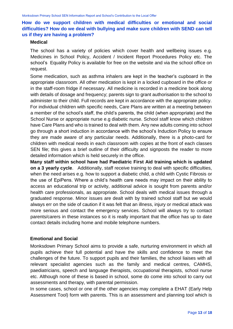# **How do we support children with medical difficulties or emotional and social difficulties? How do we deal with bullying and make sure children with SEND can tell us if they are having a problem?**

#### **Medical**

The school has a variety of policies which cover health and wellbeing issues e.g. Medicines in School Policy, Accident / Incident Report Procedures Policy etc. The school's Equality Policy is available for free on the website and via the school office on request.

Some medication, such as asthma inhalers are kept in the teacher's cupboard in the appropriate classroom. All other medication is kept in a locked cupboard in the office or in the staff-room fridge if necessary. All medicine is recorded in a medicine book along with details of dosage and frequency; parents sign to grant authorisation to the school to administer to their child. Full records are kept in accordance with the appropriate policy. For individual children with specific needs, Care Plans are written at a meeting between a member of the school's staff, the child's parents, the child (when appropriate) and the School Nurse or appropriate nurse e.g diabetic nurse. School staff know which children have Care Plans and who is trained to deal with them. Any new adults coming into school go through a short induction in accordance with the school's Induction Policy to ensure they are made aware of any particular needs. Additionally, there is a photo-card for children with medical needs in each classroom with copies at the front of each classes SEN file; this gives a brief outline of their difficulty and signposts the reader to more detailed information which is held securely in the office.

**Many staff within school have had Paediatric First Aid training which is updated on a 3 yearly cycle**. Additionally, staff receive training to deal with specific difficulties, when the need arises e.g. how to support a diabetic child, a child with Cystic Fibrosis or the use of EpiPens. Where a child's health care needs may impact on their ability to access an educational trip or activity, additional advice is sought from parents and/or health care professionals, as appropriate. School deals with medical issues through a graduated response. Minor issues are dealt with by trained school staff but we would always err on the side of caution if it was felt that an illness, injury or medical attack was more serious and contact the emergency services. School will always try to contact parents/carers in these instances so it is really important that the office has up to date contact details including home and mobile telephone numbers.

#### **Emotional and Social**

Monksdown Primary School aims to provide a safe, nurturing environment in which all pupils achieve their full potential and have the skills and confidence to meet the challenges of the future. To support pupils and their families, the school liaises with all relevant specialist agencies such as the family and medical centres, CAMHS, paediatricians, speech and language therapists, occupational therapists, school nurse etc. Although none of these is based in school, some do come into school to carry out assessments and therapy, with parental permission.

In some cases, school or one of the other agencies may complete a EHAT (Early Help Assessment Tool) form with parents. This is an assessment and planning tool which is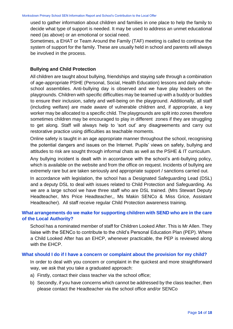used to gather information about children and families in one place to help the family to decide what type of support is needed. It may be used to address an unmet educational need (as above) or an emotional or social need.

Sometimes, a EHAT or Team Around the Family (TAF) meeting is called to continue the system of support for the family. These are usually held in school and parents will always be involved in the process.

### **Bullying and Child Protection**

All children are taught about bullying, friendships and staying safe through a combination of age-appropriate PSHE (Personal, Social, Health Education) lessons and daily wholeschool assemblies. Anti-bullying day is observed and we have play leaders on the playgrounds. Children with specific difficulties may be teamed up with a buddy or buddies to ensure their inclusion, safety and well-being on the playground. Additionally, all staff (including welfare) are made aware of vulnerable children and, if appropriate, a key worker may be allocated to a specific child. The playgrounds are split into zones therefore sometimes children may be encouraged to play in different zones if they are struggling to get along. Staff will always help to 'sort out' any disagreements and carry out restorative practice using difficulties as teachable moments.

Online safety is taught in an age appropriate manner throughout the school, recognising the potential dangers and issues on the Internet. Pupils' views on safety, bullying and attitudes to risk are sought through informal chats as well as the PSHE & IT curriculum.

Any bullying incident is dealt with in accordance with the school's anti-bullying policy, which is available on the website and from the office on request. Incidents of bullying are extremely rare but are taken seriously and appropriate support / sanctions carried out.

In accordance with legislation, the school has a Designated Safeguarding Lead (DSL) and a deputy DSL to deal with issues related to Child Protection and Safeguarding. As we are a large school we have three staff who are DSL trained. (Mrs Stewart Deputy Headteacher, Mrs Price Headteacher,, Ms Makin SENCo & Miss Grice, Assistant Headteacher). All staff receive regular Child Protection awareness training.

## **What arrangements do we make for supporting children with SEND who are in the care of the Local Authority?**

School has a nominated member of staff for Children Looked After. This is Mr Allen. They liaise with the SENCo to contribute to the child's Personal Education Plan (PEP). Where a Child Looked After has an EHCP, whenever practicable, the PEP is reviewed along with the EHCP.

#### **What should I do if I have a concern or complaint about the provision for my child?**

In order to deal with you concern or complaint in the quickest and more straightforward way, we ask that you take a graduated approach:

- a) Firstly, contact their class teacher via the school office;
- b) Secondly, if you have concerns which cannot be addressed by the class teacher, then please contact the Headteacher via the school office and/or SENCo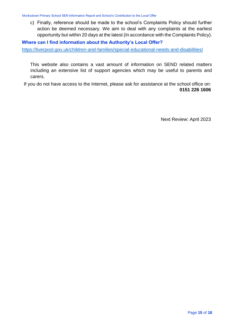c) Finally, reference should be made to the school's Complaints Policy should further action be deemed necessary. We aim to deal with any complaints at the earliest opportunity but within 20 days at the latest (In accordance with the Complaints Policy).

**Where can I find information about the Authority's Local Offer?** 

<https://liverpool.gov.uk/children-and-families/special-educational-needs-and-disabilities/>

This website also contains a vast amount of information on SEND related matters including an extensive list of support agencies which may be useful to parents and carers.

If you do not have access to the Internet, please ask for assistance at the school office on: **0151 226 1606**

Next Review: April 2023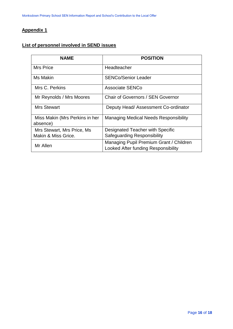# **Appendix 1**

# **List of personnel involved in SEND issues**

| <b>NAME</b>                                | <b>POSITION</b>                                                                |
|--------------------------------------------|--------------------------------------------------------------------------------|
| Mrs Price                                  | Headteacher                                                                    |
| Ms Makin                                   | <b>SENCo/Senior Leader</b>                                                     |
| Mrs C. Perkins                             | Associate SENCo                                                                |
| Mr Reynolds / Mrs Moores                   | Chair of Governors / SEN Governor                                              |
| Mrs Stewart                                | Deputy Head/Assessment Co-ordinator                                            |
| Miss Makin (Mrs Perkins in her<br>absence) | <b>Managing Medical Needs Responsibility</b>                                   |
| Mrs Stewart, Mrs Price, Ms                 | Designated Teacher with Specific                                               |
| Makin & Miss Grice.                        | Safeguarding Responsibility                                                    |
| Mr Allen                                   | Managing Pupil Premium Grant / Children<br>Looked After funding Responsibility |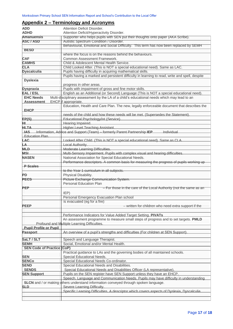# **Appendix 2 – Terminology and Acronyms**

| <b>ADD</b>                        | Attention Deficit Disorder.                                                                              |
|-----------------------------------|----------------------------------------------------------------------------------------------------------|
| <b>ADHD</b>                       | Attention Deficit/Hyperactivity Disorder.                                                                |
| <b>Amanuensis</b>                 | Supporter who helps pupils with SEN put their thoughts onto paper (AKA Scribe).                          |
| <b>ASC / ASD</b>                  | Autistic Spectrum Condition / Disorder.                                                                  |
|                                   | Behavioural, Emotional and Social Difficulty. This term has now been replaced by SEMH                    |
| <b>BESD</b>                       |                                                                                                          |
|                                   | where the focus is on the reasons behind the behaviours.                                                 |
| <b>CAF</b>                        | Common Assessment Framework.                                                                             |
| <b>CAMHS</b>                      | Child & Adolescent Mental Health Service.                                                                |
| <b>CLA</b>                        | Child Looked After. (This is NOT a special educational need). Same as LAC.                               |
| <b>Dyscalculia</b>                | Pupils having difficulty in acquiring mathematical skills.                                               |
|                                   | Pupils having a marked and persistent difficulty in learning to read, write and spell, despite           |
| <b>Dyslexia</b>                   |                                                                                                          |
|                                   | progress in other areas.                                                                                 |
| <b>Dyspraxia</b>                  | Pupils with impairment of gross and fine motor skills.                                                   |
| <b>EAL / ESL</b>                  | English as an Additional (or Second) Language (This is NOT a special educational need).                  |
| <b>EHC Needs</b>                  | Multi-disciplinary assessment by the LA of a child's educational needs which may lead to an              |
| <b>Assessment</b>                 | <b>EHCP</b> if appropriate.                                                                              |
|                                   | Education, Health and Care Plan. The new, legally enforceable document that describes the                |
| <b>EHCP</b>                       |                                                                                                          |
|                                   | needs of the child and how these needs will be met. (Supersedes the Statement).                          |
| EP(S)                             | Educational Psychology/ist (Service).                                                                    |
| Η∟                                | Hearing Impaired.                                                                                        |
| <b>HLTA</b>                       | <b>Higher Level Teaching Assistant.</b>                                                                  |
|                                   | <b>IAS</b> Information, Advice and Support (Team) – formerly Parent Partnership <b>IEP</b><br>Individual |
| Education Plan.                   |                                                                                                          |
| LAC_                              | Looked After Child. (This is NOT a special educational need). Same as CLA.                               |
| LA                                | Local Authority.                                                                                         |
| MLD <sub></sub>                   | Moderate Learning Difficulties.                                                                          |
| <b>MSI</b>                        | Multi-Sensory Impairment. Pupils with complex visual and hearing difficulties.                           |
| <b>NASEN</b>                      | National Association for Special Educational Needs.                                                      |
|                                   | Performance descriptors. A common basis for measuring the progress of pupils working up                  |
| <b>P</b> Scales                   |                                                                                                          |
|                                   | to the Year 1 curriculum in all subjects.                                                                |
| PD                                | Physical Disability.                                                                                     |
| <b>PECS</b>                       | Picture Exchange Communication System.                                                                   |
|                                   | Personal Education Plan                                                                                  |
| PEP                               | - For those in the care of the Local Authority (not the same as an                                       |
|                                   | IEP)                                                                                                     |
|                                   | Personal Emergency Evacuation Plan school                                                                |
|                                   | is evacuated (eg for a fire)                                                                             |
| <b>PEEP</b>                       | - written for children who need extra support if the                                                     |
|                                   |                                                                                                          |
|                                   | Performance Indicators for Value Added Target Setting. PIVATs                                            |
|                                   | An assessment programme to measure small steps of progress and to set targets. PMLD                      |
| <b>Pupil Profile or Pupil</b>     | Profound and Multiple Learning Difficulties.                                                             |
| Passport                          | An overview of a pupil's strengths and difficulties (For children at SEN Support)                        |
|                                   |                                                                                                          |
| SaLT / SLT                        | Speech and Language Therapist.                                                                           |
| <b>SEMH</b>                       | Social, Emotional and/or Mental Health.                                                                  |
| <b>SEN Code of Practice (CoP)</b> |                                                                                                          |
|                                   | Practical guidance to LAs and the governing bodies of all maintained schools.                            |
| <b>SEN</b>                        | Special Educational Needs.                                                                               |
| <b>SENCo</b>                      | Special Educational Needs Co-ordinator.                                                                  |
| <b>SEND</b>                       | Special Educational Needs and Disabilities.                                                              |
| <b>SENDS</b>                      | Special Educational Needs and Disabilities Officer (LA representative).                                  |
| <b>SEN Support</b>                | Pupils on the SEN register have SEN Support unless they have an EHCP.                                    |
|                                   | Speech, Language and Communication Needs. Pupils may have difficulty in understanding                    |
|                                   | SLCN and / or making others understand information conveyed through spoken language.                     |
| <b>SLD</b>                        | Severe Learning Difficulty.                                                                              |
|                                   | Specific Learning Difficulties. A descriptor which covers aspects of Dyslexia, Dyscalculia               |
|                                   |                                                                                                          |